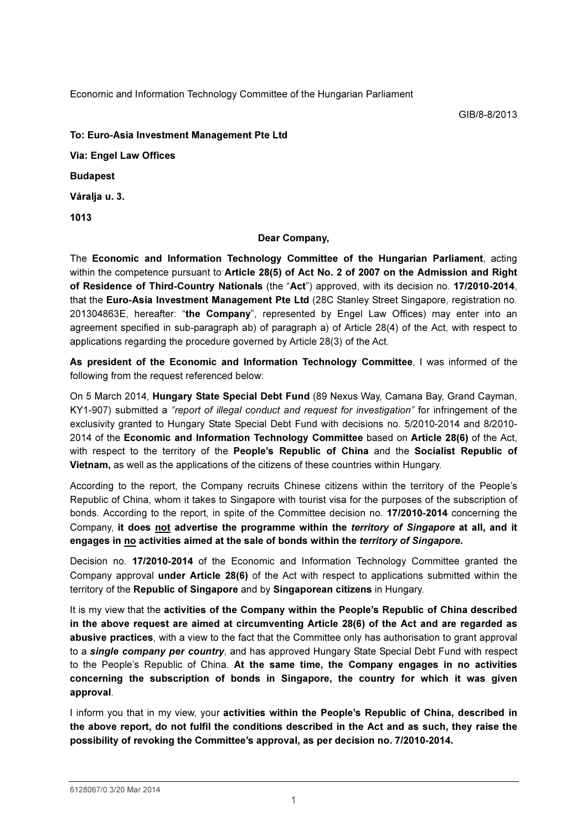Economic and Information Technology Committee of the Hungarian Parliament

To: Euro-Asia Investment Management Pte Ltd

Via: Engel Law Offices

Budapest

Váralja u. 3.

1013

## Dear Company,

The Economic and Information Technology Committee of the Hungarian Parliament, acting within the competence pursuant to Article 28(5) of Act No. 2 of 2007 on the Admission and Right of Residence of Third-Country Nationals (the "Act") approved, with its decision no. 17/2010-2014, that the Euro-Asia Investment Management Pte Ltd (28C Stanley Street Singapore, registration no. 201304863E, hereafter: "the Company", represented by Engel Law Offices) may enter into an agreement specified in sub-paragraph ab) of paragraph a) of Article 28(4) of the Act, with respect to applications regarding the procedure governed by Article 28(3) of the Act.

As president of the Economic and Information Technology Committee, I was informed of the following from the request referenced below:

On 5 March 2014, Hungary State Special Debt Fund (89 Nexus Way, Camana Bay, Grand Cayman, KY1-907) submitted a "report of illegal conduct and request for investigation" for infringement of the exclusivity granted to Hungary State Special Debt Fund with decisions no. 5/2010-2014 and 8/2010- 2014 of the Economic and Information Technology Committee based on Article 28(6) of the Act, with respect to the territory of the People's Republic of China and the Socialist Republic of Vietnam, as well as the applications of the citizens of these countries within Hungary.

According to the report, the Company recruits Chinese citizens within the territory of the People's Republic of China, whom it takes to Singapore with tourist visa for the purposes of the subscription of bonds. According to the report, in spite of the Committee decision no. 17/2010-2014 concerning the Company, it does not advertise the programme within the territory of Singapore at all, and it engages in no activities aimed at the sale of bonds within the territory of Singapore.

Decision no. 17/2010-2014 of the Economic and Information Technology Committee granted the Company approval under Article 28(6) of the Act with respect to applications submitted within the territory of the Republic of Singapore and by Singaporean citizens in Hungary.

It is my view that the activities of the Company within the People's Republic of China described in the above request are aimed at circumventing Article 28(6) of the Act and are regarded as abusive practices, with a view to the fact that the Committee only has authorisation to grant approval to a single company per country, and has approved Hungary State Special Debt Fund with respect to the People's Republic of China. At the same time, the Company engages in no activities concerning the subscription of bonds in Singapore, the country for which it was given approval.

I inform you that in my view, your activities within the People's Republic of China, described in the above report, do not fulfil the conditions described in the Act and as such, they raise the possibility of revoking the Committee's approval, as per decision no. 7/2010-2014.